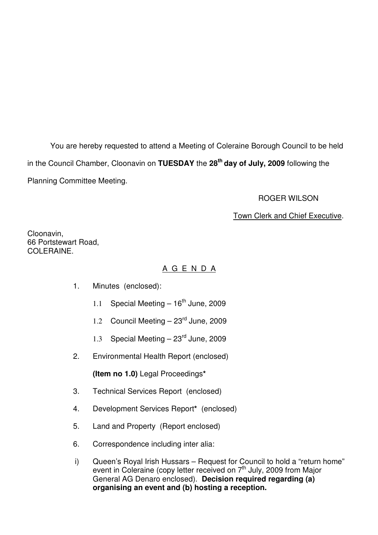You are hereby requested to attend a Meeting of Coleraine Borough Council to be held in the Council Chamber, Cloonavin on **TUESDAY** the **28th day of July, 2009** following the Planning Committee Meeting.

#### ROGER WILSON

### Town Clerk and Chief Executive.

Cloonavin, 66 Portstewart Road, COLERAINE.

## A G E N D A

- 1. Minutes (enclosed):
	- 1.1 Special Meeting  $-16^{th}$  June, 2009
	- 1.2 Council Meeting  $-23<sup>rd</sup>$  June, 2009
	- 1.3 Special Meeting  $-23<sup>rd</sup>$  June, 2009
- 2. Environmental Health Report (enclosed)

**(Item no 1.0)** Legal Proceedings**\***

- 3. Technical Services Report (enclosed)
- 4. Development Services Report**\*** (enclosed)
- 5. Land and Property (Report enclosed)
- 6. Correspondence including inter alia:
- i) Queen's Royal Irish Hussars Request for Council to hold a "return home" event in Coleraine (copy letter received on  $7<sup>th</sup>$  July, 2009 from Major General AG Denaro enclosed). **Decision required regarding (a) organising an event and (b) hosting a reception.**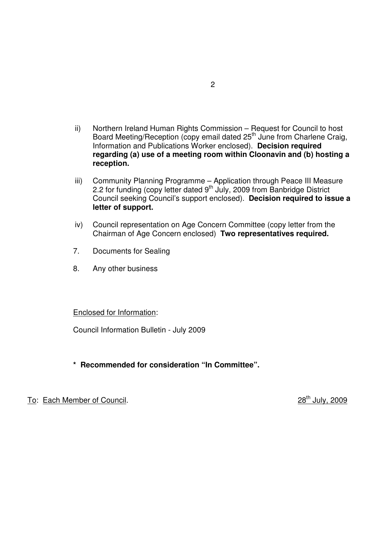- ii) Northern Ireland Human Rights Commission Request for Council to host Board Meeting/Reception (copy email dated 25<sup>th</sup> June from Charlene Craig, Information and Publications Worker enclosed). **Decision required regarding (a) use of a meeting room within Cloonavin and (b) hosting a reception.**
- iii) Community Planning Programme Application through Peace III Measure 2.2 for funding (copy letter dated 9<sup>th</sup> July, 2009 from Banbridge District Council seeking Council's support enclosed). **Decision required to issue a letter of support.**
- iv) Council representation on Age Concern Committee (copy letter from the Chairman of Age Concern enclosed) **Two representatives required.**
- 7. Documents for Sealing
- 8. Any other business

#### Enclosed for Information:

Council Information Bulletin - July 2009

**\* Recommended for consideration "In Committee".**

To: Each Member of Council. 28<sup>th</sup> July, 2009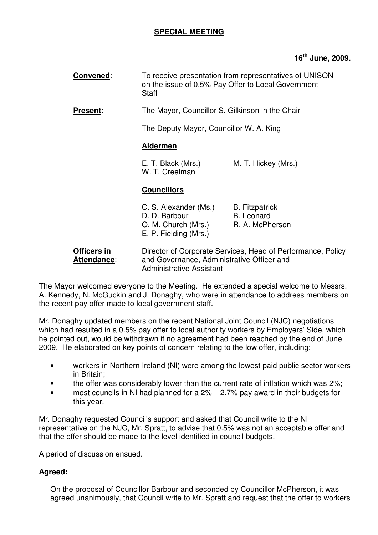### **SPECIAL MEETING**

### **16th June, 2009.**

| Convened:       | To receive presentation from representatives of UNISON<br>on the issue of 0.5% Pay Offer to Local Government<br>Staff          |                                                               |
|-----------------|--------------------------------------------------------------------------------------------------------------------------------|---------------------------------------------------------------|
| <b>Present:</b> | The Mayor, Councillor S. Gilkinson in the Chair<br>The Deputy Mayor, Councillor W. A. King                                     |                                                               |
|                 |                                                                                                                                |                                                               |
|                 | <b>Aldermen</b>                                                                                                                |                                                               |
|                 | E. T. Black (Mrs.)<br>W. T. Creelman                                                                                           | M. T. Hickey (Mrs.)                                           |
|                 | <b>Councillors</b>                                                                                                             |                                                               |
|                 | C. S. Alexander (Ms.)<br>D. D. Barbour<br>O. M. Church (Mrs.)<br>E. P. Fielding (Mrs.)                                         | <b>B.</b> Fitzpatrick<br><b>B.</b> Leonard<br>R. A. McPherson |
| AII: !          | $\mathsf{D}^1$ as a function of $\mathsf{D}$ and a function of $\mathsf{D}$ and $\mathsf{D}$ and $\mathsf{D}$ and $\mathsf{D}$ |                                                               |

**Officers in Director of Corporate Services, Head of Performance, Policy** Attendance: and Governance, Administrative Officer and Administrative Assistant

The Mayor welcomed everyone to the Meeting. He extended a special welcome to Messrs. A. Kennedy, N. McGuckin and J. Donaghy, who were in attendance to address members on the recent pay offer made to local government staff.

Mr. Donaghy updated members on the recent National Joint Council (NJC) negotiations which had resulted in a 0.5% pay offer to local authority workers by Employers' Side, which he pointed out, would be withdrawn if no agreement had been reached by the end of June 2009. He elaborated on key points of concern relating to the low offer, including:

- workers in Northern Ireland (NI) were among the lowest paid public sector workers in Britain;
- the offer was considerably lower than the current rate of inflation which was 2%;
- most councils in NI had planned for a  $2\% 2.7\%$  pay award in their budgets for this year.

Mr. Donaghy requested Council's support and asked that Council write to the NI representative on the NJC, Mr. Spratt, to advise that 0.5% was not an acceptable offer and that the offer should be made to the level identified in council budgets.

A period of discussion ensued.

### **Agreed:**

On the proposal of Councillor Barbour and seconded by Councillor McPherson, it was agreed unanimously, that Council write to Mr. Spratt and request that the offer to workers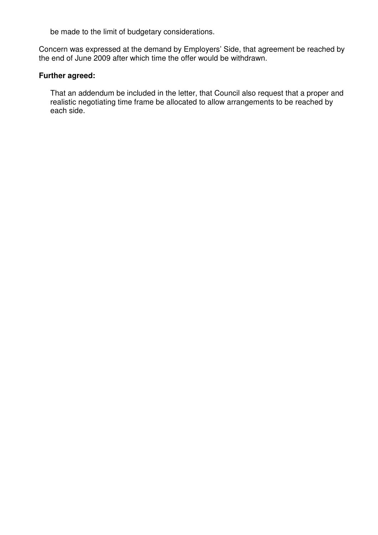be made to the limit of budgetary considerations.

Concern was expressed at the demand by Employers' Side, that agreement be reached by the end of June 2009 after which time the offer would be withdrawn.

### **Further agreed:**

That an addendum be included in the letter, that Council also request that a proper and realistic negotiating time frame be allocated to allow arrangements to be reached by each side.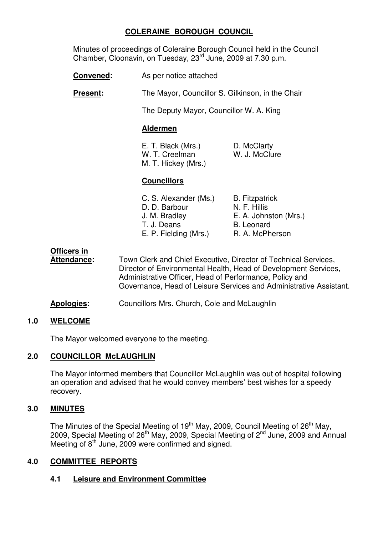### **COLERAINE BOROUGH COUNCIL**

Minutes of proceedings of Coleraine Borough Council held in the Council Chamber, Cloonavin, on Tuesday, 23rd June, 2009 at 7.30 p.m.

- **Convened:** As per notice attached
- **Present:** The Mayor, Councillor S. Gilkinson, in the Chair

The Deputy Mayor, Councillor W. A. King

#### **Aldermen**

 E. T. Black (Mrs.) D. McClarty W. T. Creelman W. J. McClure M. T. Hickey (Mrs.)

### **Councillors**

| C. S. Alexander (Ms.) | <b>B.</b> Fitzpatrick |
|-----------------------|-----------------------|
| D. D. Barbour         | N. F. Hillis          |
| J. M. Bradley         | E. A. Johnston (Mrs.) |
| T. J. Deans           | <b>B.</b> Leonard     |
| E. P. Fielding (Mrs.) | R. A. McPherson       |

# **Officers in**

**Attendance:** Town Clerk and Chief Executive, Director of Technical Services, Director of Environmental Health, Head of Development Services, Administrative Officer, Head of Performance, Policy and Governance, Head of Leisure Services and Administrative Assistant.

**Apologies:** Councillors Mrs. Church, Cole and McLaughlin

### **1.0 WELCOME**

The Mayor welcomed everyone to the meeting.

### **2.0 COUNCILLOR McLAUGHLIN**

The Mayor informed members that Councillor McLaughlin was out of hospital following an operation and advised that he would convey members' best wishes for a speedy recovery.

# **3.0 MINUTES**

The Minutes of the Special Meeting of 19<sup>th</sup> May, 2009, Council Meeting of 26<sup>th</sup> May, 2009, Special Meeting of 26th May, 2009, Special Meeting of 2nd June, 2009 and Annual Meeting of  $8<sup>th</sup>$  June, 2009 were confirmed and signed.

### **4.0 COMMITTEE REPORTS**

# **4.1 Leisure and Environment Committee**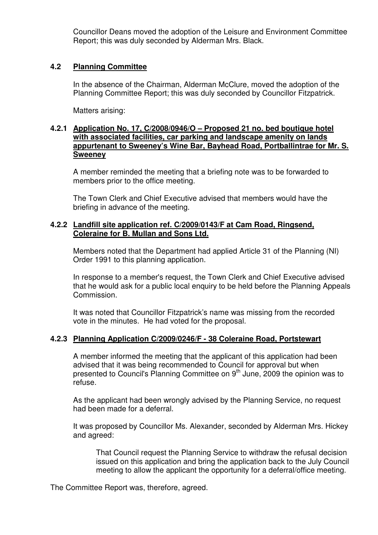Councillor Deans moved the adoption of the Leisure and Environment Committee Report; this was duly seconded by Alderman Mrs. Black.

#### **4.2 Planning Committee**

In the absence of the Chairman, Alderman McClure, moved the adoption of the Planning Committee Report; this was duly seconded by Councillor Fitzpatrick.

Matters arising:

#### **4.2.1 Application No. 17, C/2008/0946/O – Proposed 21 no. bed boutique hotel with associated facilities, car parking and landscape amenity on lands appurtenant to Sweeney's Wine Bar, Bayhead Road, Portballintrae for Mr. S. Sweeney**

A member reminded the meeting that a briefing note was to be forwarded to members prior to the office meeting.

The Town Clerk and Chief Executive advised that members would have the briefing in advance of the meeting.

#### **4.2.2 Landfill site application ref. C/2009/0143/F at Cam Road, Ringsend, Coleraine for B. Mullan and Sons Ltd.**

Members noted that the Department had applied Article 31 of the Planning (NI) Order 1991 to this planning application.

In response to a member's request, the Town Clerk and Chief Executive advised that he would ask for a public local enquiry to be held before the Planning Appeals Commission.

 It was noted that Councillor Fitzpatrick's name was missing from the recorded vote in the minutes. He had voted for the proposal.

#### **4.2.3 Planning Application C/2009/0246/F - 38 Coleraine Road, Portstewart**

A member informed the meeting that the applicant of this application had been advised that it was being recommended to Council for approval but when presented to Council's Planning Committee on  $9<sup>th</sup>$  June, 2009 the opinion was to refuse.

As the applicant had been wrongly advised by the Planning Service, no request had been made for a deferral.

It was proposed by Councillor Ms. Alexander, seconded by Alderman Mrs. Hickey and agreed:

That Council request the Planning Service to withdraw the refusal decision issued on this application and bring the application back to the July Council meeting to allow the applicant the opportunity for a deferral/office meeting.

The Committee Report was, therefore, agreed.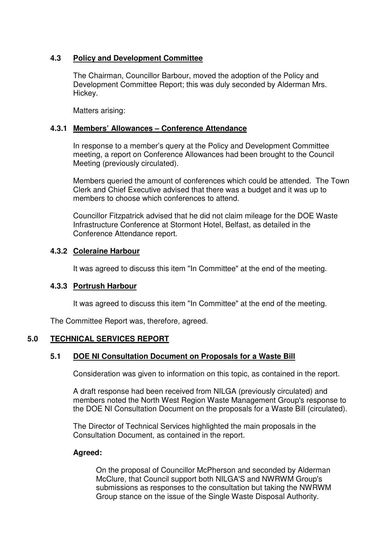### **4.3 Policy and Development Committee**

The Chairman, Councillor Barbour, moved the adoption of the Policy and Development Committee Report; this was duly seconded by Alderman Mrs. Hickey.

Matters arising:

### **4.3.1 Members' Allowances – Conference Attendance**

In response to a member's query at the Policy and Development Committee meeting, a report on Conference Allowances had been brought to the Council Meeting (previously circulated).

Members queried the amount of conferences which could be attended. The Town Clerk and Chief Executive advised that there was a budget and it was up to members to choose which conferences to attend.

Councillor Fitzpatrick advised that he did not claim mileage for the DOE Waste Infrastructure Conference at Stormont Hotel, Belfast, as detailed in the Conference Attendance report.

### **4.3.2 Coleraine Harbour**

It was agreed to discuss this item "In Committee" at the end of the meeting.

### **4.3.3 Portrush Harbour**

It was agreed to discuss this item "In Committee" at the end of the meeting.

The Committee Report was, therefore, agreed.

### **5.0 TECHNICAL SERVICES REPORT**

### **5.1 DOE NI Consultation Document on Proposals for a Waste Bill**

Consideration was given to information on this topic, as contained in the report.

A draft response had been received from NILGA (previously circulated) and members noted the North West Region Waste Management Group's response to the DOE NI Consultation Document on the proposals for a Waste Bill (circulated).

 The Director of Technical Services highlighted the main proposals in the Consultation Document, as contained in the report.

### **Agreed:**

 On the proposal of Councillor McPherson and seconded by Alderman McClure, that Council support both NILGA'S and NWRWM Group's submissions as responses to the consultation but taking the NWRWM Group stance on the issue of the Single Waste Disposal Authority.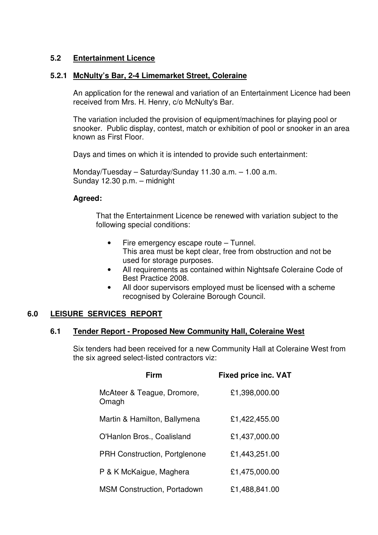#### **5.2 Entertainment Licence**

#### **5.2.1 McNulty's Bar, 2-4 Limemarket Street, Coleraine**

 An application for the renewal and variation of an Entertainment Licence had been received from Mrs. H. Henry, c/o McNulty's Bar.

 The variation included the provision of equipment/machines for playing pool or snooker. Public display, contest, match or exhibition of pool or snooker in an area known as First Floor.

Days and times on which it is intended to provide such entertainment:

 Monday/Tuesday – Saturday/Sunday 11.30 a.m. – 1.00 a.m. Sunday 12.30 p.m. – midnight

#### **Agreed:**

 That the Entertainment Licence be renewed with variation subject to the following special conditions:

- Fire emergency escape route Tunnel. This area must be kept clear, free from obstruction and not be used for storage purposes.
- All requirements as contained within Nightsafe Coleraine Code of Best Practice 2008.
- All door supervisors employed must be licensed with a scheme recognised by Coleraine Borough Council.

### **6.0 LEISURE SERVICES REPORT**

#### **6.1 Tender Report - Proposed New Community Hall, Coleraine West**

Six tenders had been received for a new Community Hall at Coleraine West from the six agreed select-listed contractors viz:

| Firm                                 | <b>Fixed price inc. VAT</b> |
|--------------------------------------|-----------------------------|
| McAteer & Teague, Dromore,<br>Omagh  | £1,398,000.00               |
| Martin & Hamilton, Ballymena         | £1,422,455.00               |
| O'Hanlon Bros., Coalisland           | £1,437,000.00               |
| <b>PRH Construction, Portglenone</b> | £1,443,251.00               |
| P & K McKaigue, Maghera              | £1,475,000.00               |
| <b>MSM Construction, Portadown</b>   | £1,488,841.00               |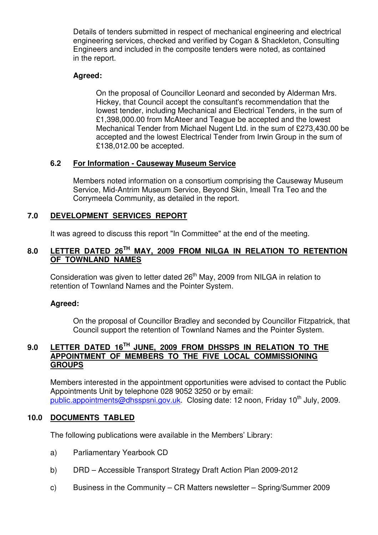Details of tenders submitted in respect of mechanical engineering and electrical engineering services, checked and verified by Cogan & Shackleton, Consulting Engineers and included in the composite tenders were noted, as contained in the report.

### **Agreed:**

 On the proposal of Councillor Leonard and seconded by Alderman Mrs. Hickey, that Council accept the consultant's recommendation that the lowest tender, including Mechanical and Electrical Tenders, in the sum of £1,398,000.00 from McAteer and Teague be accepted and the lowest Mechanical Tender from Michael Nugent Ltd. in the sum of £273,430.00 be accepted and the lowest Electrical Tender from Irwin Group in the sum of £138,012.00 be accepted.

#### **6.2 For Information - Causeway Museum Service**

 Members noted information on a consortium comprising the Causeway Museum Service, Mid-Antrim Museum Service, Beyond Skin, Imeall Tra Teo and the Corrymeela Community, as detailed in the report.

#### **7.0 DEVELOPMENT SERVICES REPORT**

It was agreed to discuss this report "In Committee" at the end of the meeting.

# **8.0 LETTER DATED 26TH MAY, 2009 FROM NILGA IN RELATION TO RETENTION OF TOWNLAND NAMES**

Consideration was given to letter dated  $26<sup>th</sup>$  May, 2009 from NILGA in relation to retention of Townland Names and the Pointer System.

#### **Agreed:**

 On the proposal of Councillor Bradley and seconded by Councillor Fitzpatrick, that Council support the retention of Townland Names and the Pointer System.

#### **9.0 LETTER DATED 16TH JUNE, 2009 FROM DHSSPS IN RELATION TO THE APPOINTMENT OF MEMBERS TO THE FIVE LOCAL COMMISSIONING GROUPS**

 Members interested in the appointment opportunities were advised to contact the Public Appointments Unit by telephone 028 9052 3250 or by email: public.appointments@dhsspsni.gov.uk. Closing date: 12 noon, Friday 10<sup>th</sup> July, 2009.

#### **10.0 DOCUMENTS TABLED**

The following publications were available in the Members' Library:

- a) Parliamentary Yearbook CD
- b) DRD Accessible Transport Strategy Draft Action Plan 2009-2012
- c) Business in the Community CR Matters newsletter Spring/Summer 2009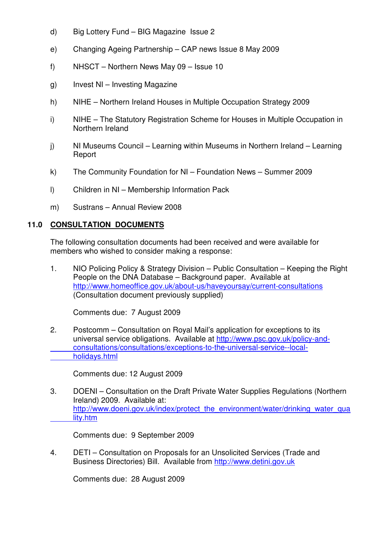- d) Big Lottery Fund BIG Magazine Issue 2
- e) Changing Ageing Partnership CAP news Issue 8 May 2009
- f) NHSCT Northern News May 09 Issue 10
- g) Invest NI Investing Magazine
- h) NIHE Northern Ireland Houses in Multiple Occupation Strategy 2009
- i) NIHE The Statutory Registration Scheme for Houses in Multiple Occupation in Northern Ireland
- j) NI Museums Council Learning within Museums in Northern Ireland Learning Report
- k) The Community Foundation for NI Foundation News Summer 2009
- l) Children in NI Membership Information Pack
- m) Sustrans Annual Review 2008

#### **11.0 CONSULTATION DOCUMENTS**

 The following consultation documents had been received and were available for members who wished to consider making a response:

1. NIO Policing Policy & Strategy Division – Public Consultation – Keeping the Right People on the DNA Database – Background paper. Available at http://www.homeoffice.gov.uk/about-us/haveyoursay/current-consultations (Consultation document previously supplied)

Comments due: 7 August 2009

2. Postcomm – Consultation on Royal Mail's application for exceptions to its universal service obligations. Available at http://www.psc.gov.uk/policy-and consultations/consultations/exceptions-to-the-universal-service--local holidays.html

Comments due: 12 August 2009

3. DOENI – Consultation on the Draft Private Water Supplies Regulations (Northern Ireland) 2009. Available at: http://www.doeni.gov.uk/index/protect\_the\_environment/water/drinking\_water\_qua lity.htm

Comments due: 9 September 2009

 4. DETI – Consultation on Proposals for an Unsolicited Services (Trade and Business Directories) Bill. Available from http://www.detini.gov.uk

Comments due: 28 August 2009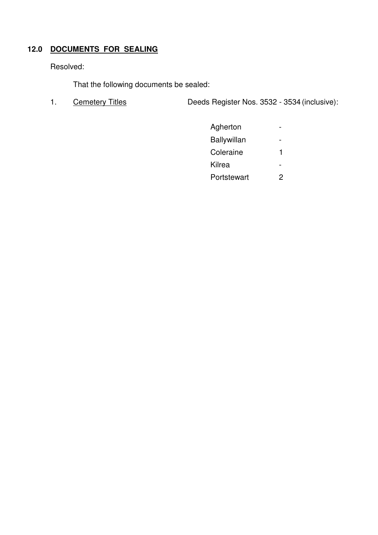# **12.0 DOCUMENTS FOR SEALING**

Resolved:

That the following documents be sealed:

1. Cemetery Titles Deeds Register Nos. 3532 - 3534 (inclusive):

| Agherton           |   |
|--------------------|---|
| <b>Ballywillan</b> |   |
| Coleraine          |   |
| Kilrea             |   |
| Portstewart        | 2 |